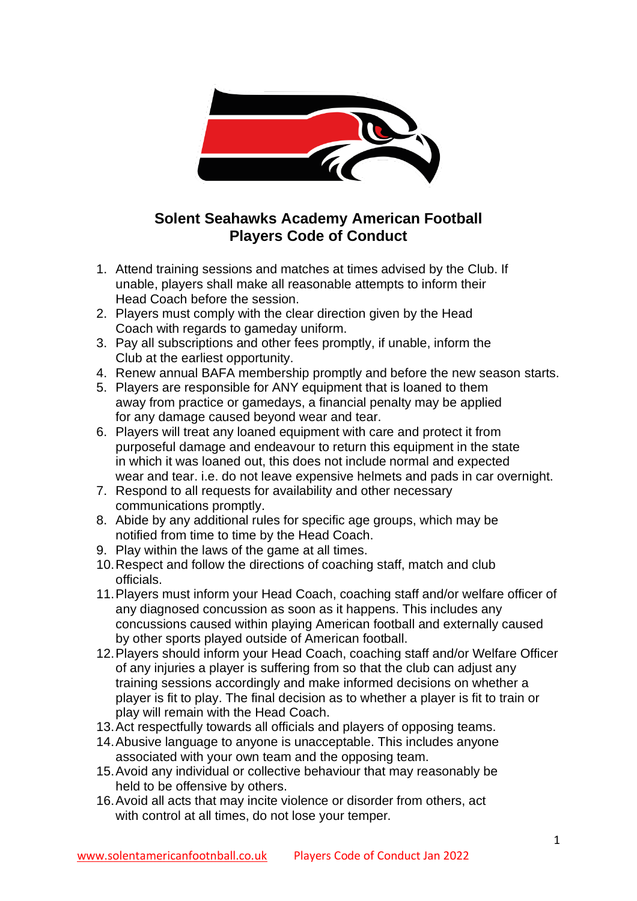

## **Solent Seahawks Academy American Football Players Code of Conduct**

- 1. Attend training sessions and matches at times advised by the Club. If unable, players shall make all reasonable attempts to inform their Head Coach before the session.
- 2. Players must comply with the clear direction given by the Head Coach with regards to gameday uniform.
- 3. Pay all subscriptions and other fees promptly, if unable, inform the Club at the earliest opportunity.
- 4. Renew annual BAFA membership promptly and before the new season starts.
- 5. Players are responsible for ANY equipment that is loaned to them away from practice or gamedays, a financial penalty may be applied for any damage caused beyond wear and tear.
- 6. Players will treat any loaned equipment with care and protect it from purposeful damage and endeavour to return this equipment in the state in which it was loaned out, this does not include normal and expected wear and tear. i.e. do not leave expensive helmets and pads in car overnight.
- 7. Respond to all requests for availability and other necessary communications promptly.
- 8. Abide by any additional rules for specific age groups, which may be notified from time to time by the Head Coach.
- 9. Play within the laws of the game at all times.
- 10.Respect and follow the directions of coaching staff, match and club officials.
- 11.Players must inform your Head Coach, coaching staff and/or welfare officer of any diagnosed concussion as soon as it happens. This includes any concussions caused within playing American football and externally caused by other sports played outside of American football.
- 12.Players should inform your Head Coach, coaching staff and/or Welfare Officer of any injuries a player is suffering from so that the club can adjust any training sessions accordingly and make informed decisions on whether a player is fit to play. The final decision as to whether a player is fit to train or play will remain with the Head Coach.
- 13.Act respectfully towards all officials and players of opposing teams.
- 14.Abusive language to anyone is unacceptable. This includes anyone associated with your own team and the opposing team.
- 15.Avoid any individual or collective behaviour that may reasonably be held to be offensive by others.
- 16.Avoid all acts that may incite violence or disorder from others, act with control at all times, do not lose your temper.